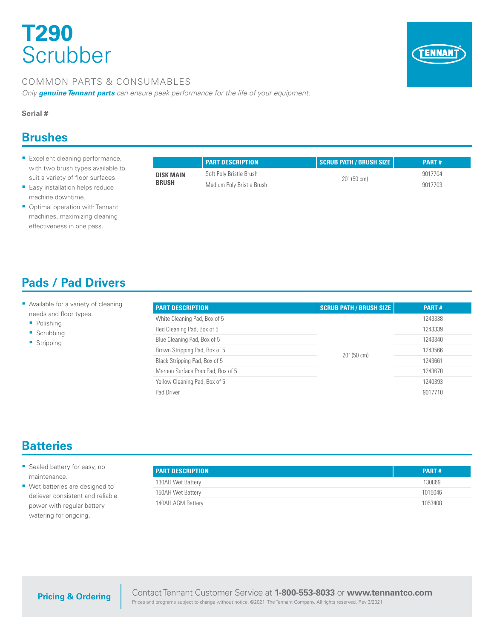# **T290 Scrubber**



### COMMON PARTS & CONSUMABLES

*Only genuine Tennant parts can ensure peak performance for the life of your equipment.*

#### **Serial #**

### **Brushes**

- **Excellent cleaning performance,** with two brush types available to suit a variety of floor surfaces.
- **Easy installation helps reduce** machine downtime.
- **Optimal operation with Tennant** machines, maximizing cleaning effectiveness in one pass.

|  | <b>Pads / Pad Drivers</b> |
|--|---------------------------|
|  |                           |

- Available for a variety of cleaning needs and floor types.
	- Polishing
	- Scrubbing
	- **Stripping**

|                  | <b>PART DESCRIPTION</b>   | SCRUB PATH / BRUSH SIZE | <b>PART#</b> |
|------------------|---------------------------|-------------------------|--------------|
| <b>DISK MAIN</b> | Soft Poly Bristle Brush   | $20$ " (50 cm)          | 9017704      |
| <b>BRUSH</b>     | Medium Poly Bristle Brush |                         | 9017703      |

#### **PART DESCRIPTION SCRUB PATH / BRUSH SIZE PART #** White Cleaning Pad, Box of 5 20" (50 cm) 1243338 Red Cleaning Pad, Box of 5 1243339 Blue Cleaning Pad, Box of 5 1243340 Brown Stripping Pad, Box of 5 1243566 Black Stripping Pad, Box of 5 1243661 Maroon Surface Prep Pad, Box of 5 1243670 Yellow Cleaning Pad, Box of 5 1240393 Pad Driver 9017710

### **Batteries**

- **Sealed battery for easy, no** maintenance.
- Wet batteries are designed to deliever consistent and reliable power with regular battery watering for ongoing.

| <b>PART DESCRIPTION</b> | PART#   |
|-------------------------|---------|
| 130AH Wet Battery       | 130869  |
| 150AH Wet Battery       | 1015046 |
| 140AH AGM Battery       | 1053408 |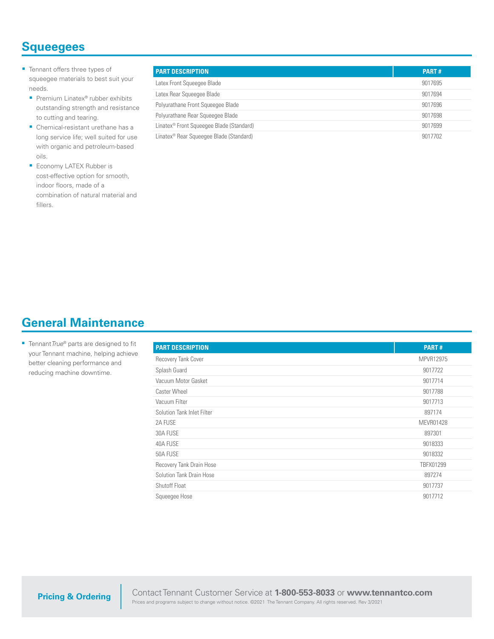### **Squeegees**

- **Tennant offers three types of** squeegee materials to best suit your needs.
	- Premium Linatex<sup>®</sup> rubber exhibits outstanding strength and resistance to cutting and tearing.
	- Chemical-resistant urethane has a long service life; well suited for use with organic and petroleum-based oils.
	- **Economy LATEX Rubber is** cost-effective option for smooth, indoor floors, made of a combination of natural material and fillers.

| <b>PART DESCRIPTION</b>                              | <b>PART#</b> |
|------------------------------------------------------|--------------|
| Latex Front Squeeqee Blade                           | 9017695      |
| Latex Rear Squeegee Blade                            | 9017694      |
| Polyurathane Front Squeeqee Blade                    | 9017696      |
| Polyurathane Rear Squeeqee Blade                     | 9017698      |
| Linatex <sup>®</sup> Front Squeeqee Blade (Standard) | 9017699      |
| Linatex <sup>®</sup> Rear Squeeqee Blade (Standard)  | 9017702      |

### **General Maintenance**

■ Tennant True<sup>®</sup> parts are designed to fit your Tennant machine, helping achieve better cleaning performance and reducing machine downtime.

| <b>PART DESCRIPTION</b>    | <b>PART#</b> |
|----------------------------|--------------|
| Recovery Tank Cover        | MPVR12975    |
| Splash Guard               | 9017722      |
| Vacuum Motor Gasket        | 9017714      |
| Caster Wheel               | 9017788      |
| Vacuum Filter              | 9017713      |
| Solution Tank Inlet Filter | 897174       |
| 2A FUSE                    | MEVR01428    |
| 30A FUSE                   | 897301       |
| 40A FUSE                   | 9018333      |
| 50A FUSE                   | 9018332      |
| Recovery Tank Drain Hose   | TBFX01299    |
| Solution Tank Drain Hose   | 897274       |
| Shutoff Float              | 9017737      |
| Squeegee Hose              | 9017712      |

**Pricing & Ordering**

Contact Tennant Customer Service at **1-800-553-8033** or **www.tennantco.com** Prices and programs subject to change without notice. ©2021 The Tennant Company. All rights reserved. Rev 3/2021